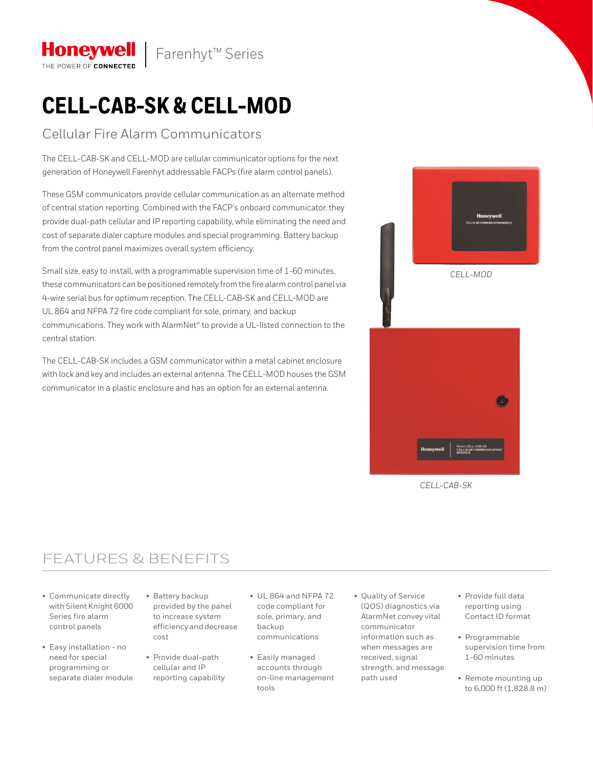

# **CELL-CAB-SK & CELL-MOD**

### Cellular Fire Alarm Communicators

**Honeywell** THE POWER OF CONNECTED

The CELL-CAB-SK and CELL-MOD are cellular communicator options for the next generation of Honeywell Farenhyt addressable FACPs (fire alarm control panels).

These GSM communicators provide cellular communication as an alternate method of central station reporting. Combined with the FACP's onboard communicator, they provide dual-path cellular and IP reporting capability, while eliminating the need and cost of separate dialer capture modules and special programming. Battery backup from the control panel maximizes overall system efficiency.

Small size, easy to install, with a programmable supervision time of 1-60 minutes, these communicators can be positioned remotely from the fire alarm control panel via 4-wire serial bus for optimum reception. The CELL-CAB-SK and CELL-MOD are UL 864 and NFPA 72 fire code compliant for sole, primary, and backup communications. They work with AlarmNet® to provide a UL-listed connection to the central station.

The CELL-CAB-SK includes a GSM communicator within a metal cabinet enclosure with lock and key and includes an external antenna. The CELL-MOD houses the GSM communicator in a plastic enclosure and has an option for an external antenna.



*CELL-CAB-SK*

### FEATURES & BENEFITS

- Communicate directly with Silent Knight 6000 Series fire alarm control panels
- Easy installation no need for special programming or separate dialer module
- Battery backup provided by the panel to increase system efficiency and decrease cost
- Provide dual-path cellular and IP reporting capability
- UL 864 and NFPA 72 code compliant for sole, primary, and backup communications
- Easily managed accounts through on-line management tools
- Quality of Service (QOS) diagnostics via AlarmNet convey vital communicator information such as when messages are received, signal strength, and message path used
- Provide full data reporting using Contact ID format
- Programmable supervision time from 1-60 minutes
- Remote mounting up to 6,000 ft (1,828.8 m)